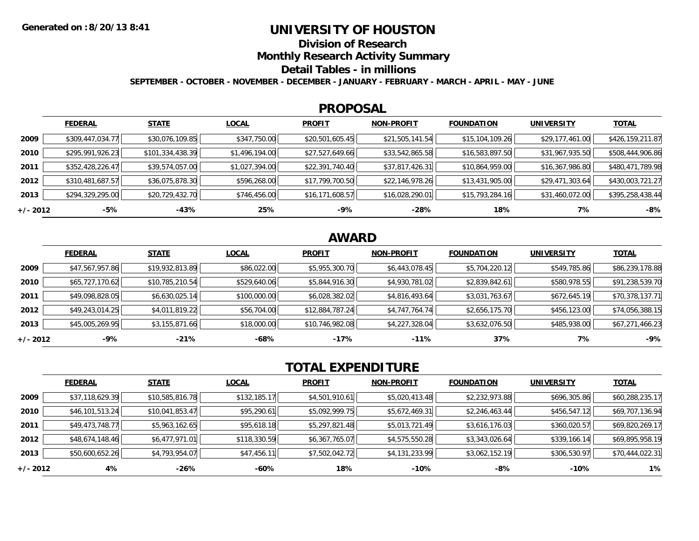## **UNIVERSITY OF HOUSTON**

**Division of Research**

**Monthly Research Activity Summary**

#### **Detail Tables - in millions**

**SEPTEMBER - OCTOBER - NOVEMBER - DECEMBER - JANUARY - FEBRUARY - MARCH - APRIL - MAY - JUNE**

#### **PROPOSAL**

|            | <b>FEDERAL</b>   | <b>STATE</b>     | <b>LOCAL</b>   | <b>PROFIT</b>   | <b>NON-PROFIT</b> | <b>FOUNDATION</b> | <b>UNIVERSITY</b> | <u>TOTAL</u>     |
|------------|------------------|------------------|----------------|-----------------|-------------------|-------------------|-------------------|------------------|
| 2009       | \$309,447,034.77 | \$30,076,109.85  | \$347,750.00   | \$20,501,605.45 | \$21,505,141.54   | \$15,104,109.26   | \$29,177,461.00   | \$426,159,211.87 |
| 2010       | \$295,991,926.23 | \$101,334,438.39 | \$1,496,194.00 | \$27,527,649.66 | \$33,542,865.58   | \$16,583,897.50   | \$31,967,935.50   | \$508,444,906.86 |
| 2011       | \$352,428,226.47 | \$39,574,057.00  | \$1,027,394.00 | \$22,391,740.40 | \$37,817,426.31   | \$10,864,959.00   | \$16,367,986.80   | \$480,471,789.98 |
| 2012       | \$310,481,687.57 | \$36,075,878.30  | \$596,268.00   | \$17,799,700.50 | \$22,146,978.26   | \$13,431,905.00   | \$29,471,303.64   | \$430,003,721.27 |
| 2013       | \$294,329,295.00 | \$20,729,432.70  | \$746,456.00   | \$16,171,608.57 | \$16,028,290.01   | \$15,793,284.16   | \$31,460,072.00   | \$395,258,438.44 |
| $+/- 2012$ | -5%              | -43%             | 25%            | $-9%$           | -28%              | 18%               | 7%                | $-8%$            |

# **AWARD**

|          | <b>FEDERAL</b>  | <b>STATE</b>    | <b>LOCAL</b> | <b>PROFIT</b>   | <b>NON-PROFIT</b> | <b>FOUNDATION</b> | <b>UNIVERSITY</b> | <b>TOTAL</b>    |
|----------|-----------------|-----------------|--------------|-----------------|-------------------|-------------------|-------------------|-----------------|
| 2009     | \$47,567,957.86 | \$19,932,813.89 | \$86,022.00  | \$5,955,300.70  | \$6,443,078.45    | \$5,704,220.12    | \$549,785.86      | \$86,239,178.88 |
| 2010     | \$65,727,170.62 | \$10,785,210.54 | \$529,640.06 | \$5,844,916.30  | \$4,930,781.02    | \$2,839,842.61    | \$580,978.55      | \$91,238,539.70 |
| 2011     | \$49,098,828.05 | \$6,630,025.14  | \$100,000.00 | \$6,028,382.02  | \$4,816,493.64    | \$3,031,763.67    | \$672,645.19      | \$70,378,137.71 |
| 2012     | \$49,243,014.25 | \$4,011,819.22  | \$56,704.00  | \$12,884,787.24 | \$4,747,764.74    | \$2,656,175.70    | \$456,123.00      | \$74,056,388.15 |
| 2013     | \$45,005,269.95 | \$3,155,871.66  | \$18,000.00  | \$10,746,982.08 | \$4,227,328.04    | \$3,632,076.50    | \$485,938.00      | \$67,271,466.23 |
| +/- 2012 | $-9%$           | $-21%$          | -68%         | $-17%$          | $-11%$            | 37%               | 7%                | $-9%$           |

# **TOTAL EXPENDITURE**

|          | <b>FEDERAL</b>  | <b>STATE</b>    | <b>LOCAL</b> | <b>PROFIT</b>  | <b>NON-PROFIT</b> | <b>FOUNDATION</b> | <b>UNIVERSITY</b> | <b>TOTAL</b>    |
|----------|-----------------|-----------------|--------------|----------------|-------------------|-------------------|-------------------|-----------------|
| 2009     | \$37,118,629.39 | \$10,585,816.78 | \$132,185.17 | \$4,501,910.61 | \$5,020,413.48    | \$2,232,973.88    | \$696,305.86      | \$60,288,235.17 |
| 2010     | \$46,101,513.24 | \$10,041,853.47 | \$95,290.61  | \$5,092,999.75 | \$5,672,469.31    | \$2,246,463.44    | \$456,547.12      | \$69,707,136.94 |
| 2011     | \$49,473,748.77 | \$5,963,162.65  | \$95,618.18  | \$5,297,821.48 | \$5,013,721.49    | \$3,616,176.03    | \$360,020.57      | \$69,820,269.17 |
| 2012     | \$48,674,148.46 | \$6,477,971.01  | \$118,330.59 | \$6,367,765.07 | \$4,575,550.28    | \$3,343,026.64    | \$339,166.14      | \$69,895,958.19 |
| 2013     | \$50,600,652.26 | \$4,793,954.07  | \$47,456.11  | \$7,502,042.72 | \$4,131,233.99    | \$3,062,152.19    | \$306,530.97      | \$70,444,022.31 |
| +/- 2012 | 4%              | $-26%$          | -60%         | 18%            | $-10%$            | -8%               | -10%              | 1%              |